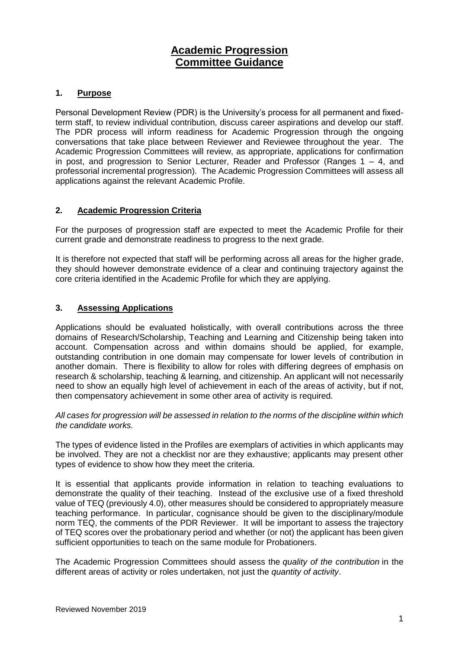# **Academic Progression Committee Guidance**

# **1. Purpose**

Personal Development Review (PDR) is the University's process for all permanent and fixedterm staff, to review individual contribution, discuss career aspirations and develop our staff. The PDR process will inform readiness for Academic Progression through the ongoing conversations that take place between Reviewer and Reviewee throughout the year. The Academic Progression Committees will review, as appropriate, applications for confirmation in post, and progression to Senior Lecturer, Reader and Professor (Ranges  $1 - 4$ , and professorial incremental progression). The Academic Progression Committees will assess all applications against the relevant Academic Profile.

# **2. Academic Progression Criteria**

For the purposes of progression staff are expected to meet the Academic Profile for their current grade and demonstrate readiness to progress to the next grade.

It is therefore not expected that staff will be performing across all areas for the higher grade, they should however demonstrate evidence of a clear and continuing trajectory against the core criteria identified in the Academic Profile for which they are applying.

#### **3. Assessing Applications**

Applications should be evaluated holistically, with overall contributions across the three domains of Research/Scholarship, Teaching and Learning and Citizenship being taken into account. Compensation across and within domains should be applied, for example, outstanding contribution in one domain may compensate for lower levels of contribution in another domain. There is flexibility to allow for roles with differing degrees of emphasis on research & scholarship, teaching & learning, and citizenship. An applicant will not necessarily need to show an equally high level of achievement in each of the areas of activity, but if not, then compensatory achievement in some other area of activity is required.

*All cases for progression will be assessed in relation to the norms of the discipline within which the candidate works.*

The types of evidence listed in the Profiles are exemplars of activities in which applicants may be involved. They are not a checklist nor are they exhaustive; applicants may present other types of evidence to show how they meet the criteria.

It is essential that applicants provide information in relation to teaching evaluations to demonstrate the quality of their teaching. Instead of the exclusive use of a fixed threshold value of TEQ (previously 4.0), other measures should be considered to appropriately measure teaching performance. In particular, cognisance should be given to the disciplinary/module norm TEQ, the comments of the PDR Reviewer. It will be important to assess the trajectory of TEQ scores over the probationary period and whether (or not) the applicant has been given sufficient opportunities to teach on the same module for Probationers.

The Academic Progression Committees should assess the *quality of the contribution* in the different areas of activity or roles undertaken, not just the *quantity of activity*.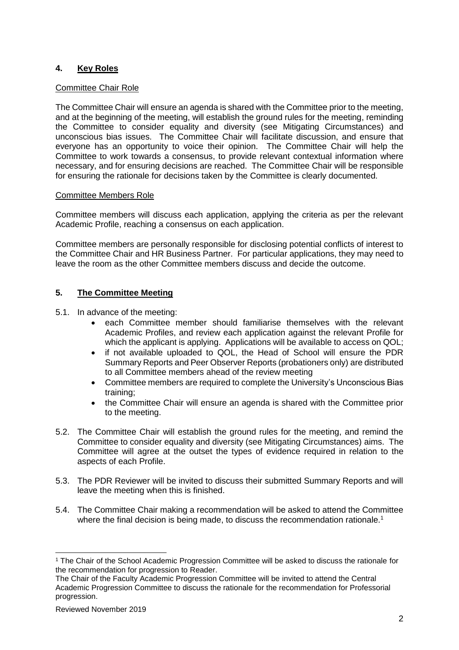# **4. Key Roles**

#### Committee Chair Role

The Committee Chair will ensure an agenda is shared with the Committee prior to the meeting, and at the beginning of the meeting, will establish the ground rules for the meeting, reminding the Committee to consider equality and diversity (see Mitigating Circumstances) and unconscious bias issues. The Committee Chair will facilitate discussion, and ensure that everyone has an opportunity to voice their opinion. The Committee Chair will help the Committee to work towards a consensus, to provide relevant contextual information where necessary, and for ensuring decisions are reached. The Committee Chair will be responsible for ensuring the rationale for decisions taken by the Committee is clearly documented.

# Committee Members Role

Committee members will discuss each application, applying the criteria as per the relevant Academic Profile, reaching a consensus on each application.

Committee members are personally responsible for disclosing potential conflicts of interest to the Committee Chair and HR Business Partner. For particular applications, they may need to leave the room as the other Committee members discuss and decide the outcome.

# **5. The Committee Meeting**

- 5.1. In advance of the meeting:
	- each Committee member should familiarise themselves with the relevant Academic Profiles, and review each application against the relevant Profile for which the applicant is applying. Applications will be available to access on QOL;
	- if not available uploaded to QOL, the Head of School will ensure the PDR Summary Reports and Peer Observer Reports (probationers only) are distributed to all Committee members ahead of the review meeting
	- Committee members are required to complete the University's Unconscious Bias training;
	- the Committee Chair will ensure an agenda is shared with the Committee prior to the meeting.
- 5.2. The Committee Chair will establish the ground rules for the meeting, and remind the Committee to consider equality and diversity (see Mitigating Circumstances) aims. The Committee will agree at the outset the types of evidence required in relation to the aspects of each Profile.
- 5.3. The PDR Reviewer will be invited to discuss their submitted Summary Reports and will leave the meeting when this is finished.
- 5.4. The Committee Chair making a recommendation will be asked to attend the Committee where the final decision is being made, to discuss the recommendation rationale.<sup>1</sup>

-

<sup>1</sup> The Chair of the School Academic Progression Committee will be asked to discuss the rationale for the recommendation for progression to Reader.

The Chair of the Faculty Academic Progression Committee will be invited to attend the Central Academic Progression Committee to discuss the rationale for the recommendation for Professorial progression.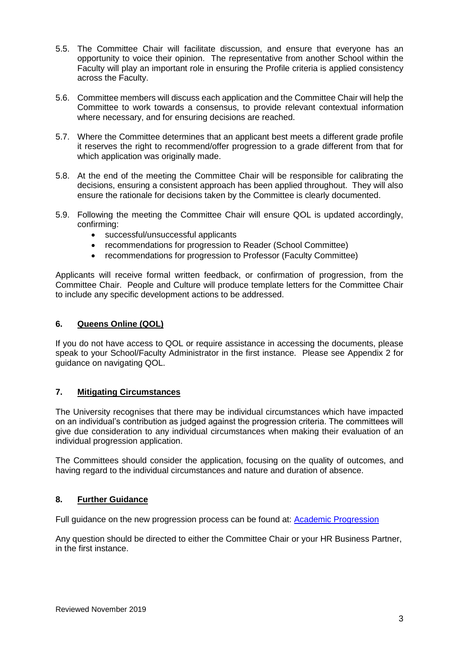- 5.5. The Committee Chair will facilitate discussion, and ensure that everyone has an opportunity to voice their opinion. The representative from another School within the Faculty will play an important role in ensuring the Profile criteria is applied consistency across the Faculty.
- 5.6. Committee members will discuss each application and the Committee Chair will help the Committee to work towards a consensus, to provide relevant contextual information where necessary, and for ensuring decisions are reached.
- 5.7. Where the Committee determines that an applicant best meets a different grade profile it reserves the right to recommend/offer progression to a grade different from that for which application was originally made.
- 5.8. At the end of the meeting the Committee Chair will be responsible for calibrating the decisions, ensuring a consistent approach has been applied throughout. They will also ensure the rationale for decisions taken by the Committee is clearly documented.
- 5.9. Following the meeting the Committee Chair will ensure QOL is updated accordingly, confirming:
	- successful/unsuccessful applicants
	- recommendations for progression to Reader (School Committee)
	- recommendations for progression to Professor (Faculty Committee)

Applicants will receive formal written feedback, or confirmation of progression, from the Committee Chair. People and Culture will produce template letters for the Committee Chair to include any specific development actions to be addressed.

#### **6. Queens Online (QOL)**

If you do not have access to QOL or require assistance in accessing the documents, please speak to your School/Faculty Administrator in the first instance. Please see Appendix 2 for guidance on navigating QOL.

#### **7. Mitigating Circumstances**

The University recognises that there may be individual circumstances which have impacted on an individual's contribution as judged against the progression criteria. The committees will give due consideration to any individual circumstances when making their evaluation of an individual progression application.

The Committees should consider the application, focusing on the quality of outcomes, and having regard to the individual circumstances and nature and duration of absence.

#### **8. Further Guidance**

Full guidance on the new progression process can be found at: [Academic Progression](http://www.qub.ac.uk/directorates/HumanResources/employees/career-progression/academic-progression/)

Any question should be directed to either the Committee Chair or your HR Business Partner, in the first instance.